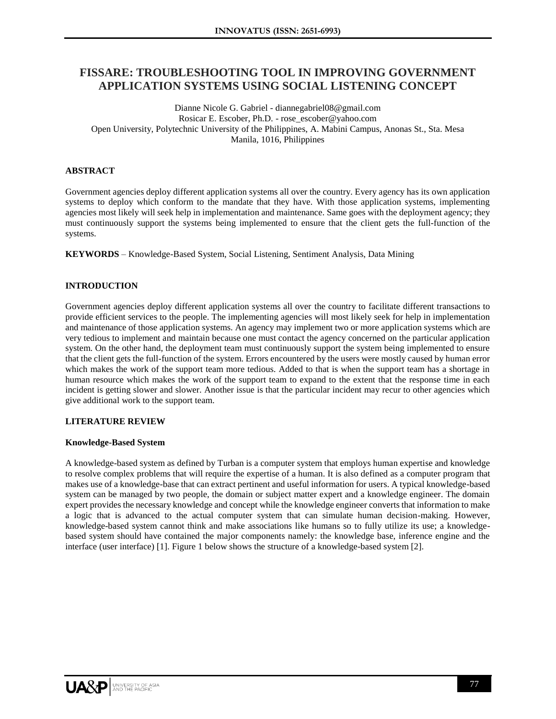# **FISSARE: TROUBLESHOOTING TOOL IN IMPROVING GOVERNMENT APPLICATION SYSTEMS USING SOCIAL LISTENING CONCEPT**

Dianne Nicole G. Gabriel - diannegabriel08@gmail.com Rosicar E. Escober, Ph.D. - rose\_escober@yahoo.com Open University, Polytechnic University of the Philippines, A. Mabini Campus, Anonas St., Sta. Mesa Manila, 1016, Philippines

## **ABSTRACT**

Government agencies deploy different application systems all over the country. Every agency has its own application systems to deploy which conform to the mandate that they have. With those application systems, implementing agencies most likely will seek help in implementation and maintenance. Same goes with the deployment agency; they must continuously support the systems being implemented to ensure that the client gets the full-function of the systems.

**KEYWORDS** – Knowledge-Based System, Social Listening, Sentiment Analysis, Data Mining

## **INTRODUCTION**

Government agencies deploy different application systems all over the country to facilitate different transactions to provide efficient services to the people. The implementing agencies will most likely seek for help in implementation and maintenance of those application systems. An agency may implement two or more application systems which are very tedious to implement and maintain because one must contact the agency concerned on the particular application system. On the other hand, the deployment team must continuously support the system being implemented to ensure that the client gets the full-function of the system. Errors encountered by the users were mostly caused by human error which makes the work of the support team more tedious. Added to that is when the support team has a shortage in human resource which makes the work of the support team to expand to the extent that the response time in each incident is getting slower and slower. Another issue is that the particular incident may recur to other agencies which give additional work to the support team.

## **LITERATURE REVIEW**

## **Knowledge-Based System**

A knowledge-based system as defined by Turban is a computer system that employs human expertise and knowledge to resolve complex problems that will require the expertise of a human. It is also defined as a computer program that makes use of a knowledge-base that can extract pertinent and useful information for users. A typical knowledge-based system can be managed by two people, the domain or subject matter expert and a knowledge engineer. The domain expert provides the necessary knowledge and concept while the knowledge engineer converts that information to make a logic that is advanced to the actual computer system that can simulate human decision-making. However, knowledge-based system cannot think and make associations like humans so to fully utilize its use; a knowledgebased system should have contained the major components namely: the knowledge base, inference engine and the interface (user interface) [1]. Figure 1 below shows the structure of a knowledge-based system [2].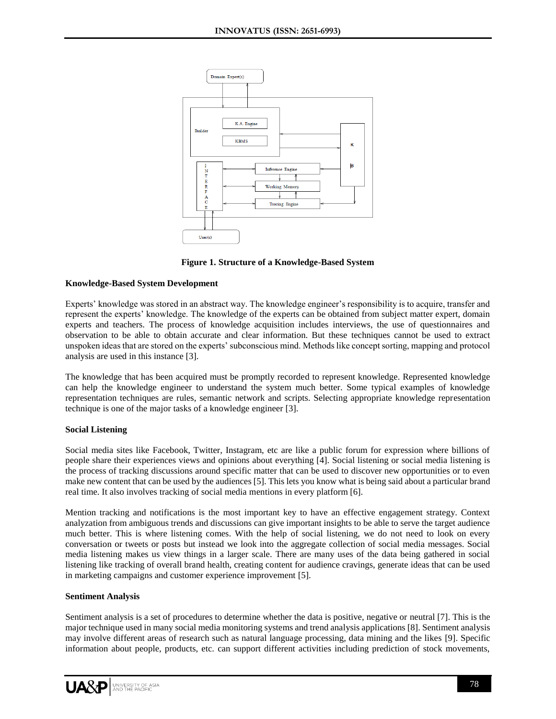

**Figure 1. Structure of a Knowledge-Based System**

# **Knowledge-Based System Development**

Experts' knowledge was stored in an abstract way. The knowledge engineer's responsibility is to acquire, transfer and represent the experts' knowledge. The knowledge of the experts can be obtained from subject matter expert, domain experts and teachers. The process of knowledge acquisition includes interviews, the use of questionnaires and observation to be able to obtain accurate and clear information. But these techniques cannot be used to extract unspoken ideas that are stored on the experts' subconscious mind. Methods like concept sorting, mapping and protocol analysis are used in this instance [3].

The knowledge that has been acquired must be promptly recorded to represent knowledge. Represented knowledge can help the knowledge engineer to understand the system much better. Some typical examples of knowledge representation techniques are rules, semantic network and scripts. Selecting appropriate knowledge representation technique is one of the major tasks of a knowledge engineer [3].

## **Social Listening**

Social media sites like Facebook, Twitter, Instagram, etc are like a public forum for expression where billions of people share their experiences views and opinions about everything [4]. Social listening or social media listening is the process of tracking discussions around specific matter that can be used to discover new opportunities or to even make new content that can be used by the audiences [5]. This lets you know what is being said about a particular brand real time. It also involves tracking of social media mentions in every platform [6].

Mention tracking and notifications is the most important key to have an effective engagement strategy. Context analyzation from ambiguous trends and discussions can give important insights to be able to serve the target audience much better. This is where listening comes. With the help of social listening, we do not need to look on every conversation or tweets or posts but instead we look into the aggregate collection of social media messages. Social media listening makes us view things in a larger scale. There are many uses of the data being gathered in social listening like tracking of overall brand health, creating content for audience cravings, generate ideas that can be used in marketing campaigns and customer experience improvement [5].

## **Sentiment Analysis**

Sentiment analysis is a set of procedures to determine whether the data is positive, negative or neutral [7]. This is the major technique used in many social media monitoring systems and trend analysis applications [8]. Sentiment analysis may involve different areas of research such as natural language processing, data mining and the likes [9]. Specific information about people, products, etc. can support different activities including prediction of stock movements,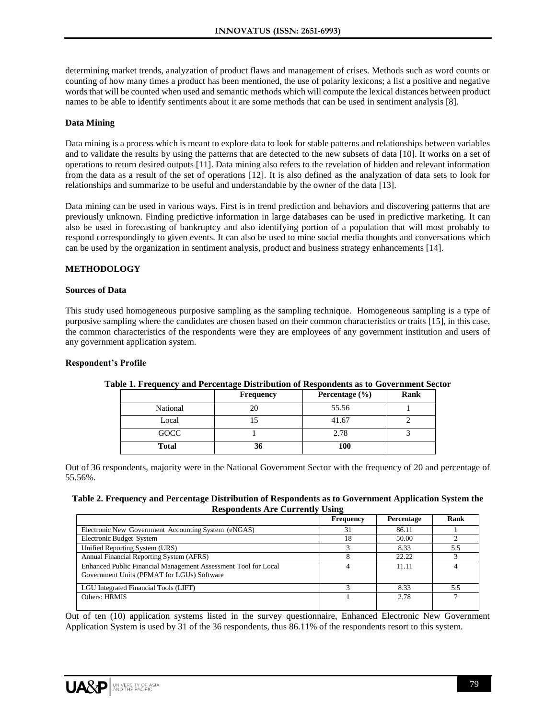determining market trends, analyzation of product flaws and management of crises. Methods such as word counts or counting of how many times a product has been mentioned, the use of polarity lexicons; a list a positive and negative words that will be counted when used and semantic methods which will compute the lexical distances between product names to be able to identify sentiments about it are some methods that can be used in sentiment analysis [8].

## **Data Mining**

Data mining is a process which is meant to explore data to look for stable patterns and relationships between variables and to validate the results by using the patterns that are detected to the new subsets of data [10]. It works on a set of operations to return desired outputs [11]. Data mining also refers to the revelation of hidden and relevant information from the data as a result of the set of operations [12]. It is also defined as the analyzation of data sets to look for relationships and summarize to be useful and understandable by the owner of the data [13].

Data mining can be used in various ways. First is in trend prediction and behaviors and discovering patterns that are previously unknown. Finding predictive information in large databases can be used in predictive marketing. It can also be used in forecasting of bankruptcy and also identifying portion of a population that will most probably to respond correspondingly to given events. It can also be used to mine social media thoughts and conversations which can be used by the organization in sentiment analysis, product and business strategy enhancements [14].

# **METHODOLOGY**

## **Sources of Data**

This study used homogeneous purposive sampling as the sampling technique. Homogeneous sampling is a type of purposive sampling where the candidates are chosen based on their common characteristics or traits [15], in this case, the common characteristics of the respondents were they are employees of any government institution and users of any government application system.

#### **Respondent's Profile**

|              | Frequency | Percentage $(\% )$ | Rank |
|--------------|-----------|--------------------|------|
| National     | 20        | 55.56              |      |
| Local        |           | 41.67              |      |
| GOCC         |           | 2.78               |      |
| <b>Total</b> | 36        | 100                |      |

#### **Table 1. Frequency and Percentage Distribution of Respondents as to Government Sector**

Out of 36 respondents, majority were in the National Government Sector with the frequency of 20 and percentage of 55.56%.

#### **Table 2. Frequency and Percentage Distribution of Respondents as to Government Application System the Respondents Are Currently Using**

|                                                                                                              | Frequency | Percentage | Rank |
|--------------------------------------------------------------------------------------------------------------|-----------|------------|------|
| Electronic New Government Accounting System (eNGAS)                                                          | 31        | 86.11      |      |
| Electronic Budget System                                                                                     | 18        | 50.00      |      |
| Unified Reporting System (URS)                                                                               |           | 8.33       | 5.5  |
| Annual Financial Reporting System (AFRS)                                                                     |           | 22.22      |      |
| Enhanced Public Financial Management Assessment Tool for Local<br>Government Units (PFMAT for LGUs) Software |           | 11.11      |      |
| LGU Integrated Financial Tools (LIFT)                                                                        |           | 8.33       | 5.5  |
| Others: HRMIS                                                                                                |           | 2.78       |      |

Out of ten (10) application systems listed in the survey questionnaire, Enhanced Electronic New Government Application System is used by 31 of the 36 respondents, thus 86.11% of the respondents resort to this system.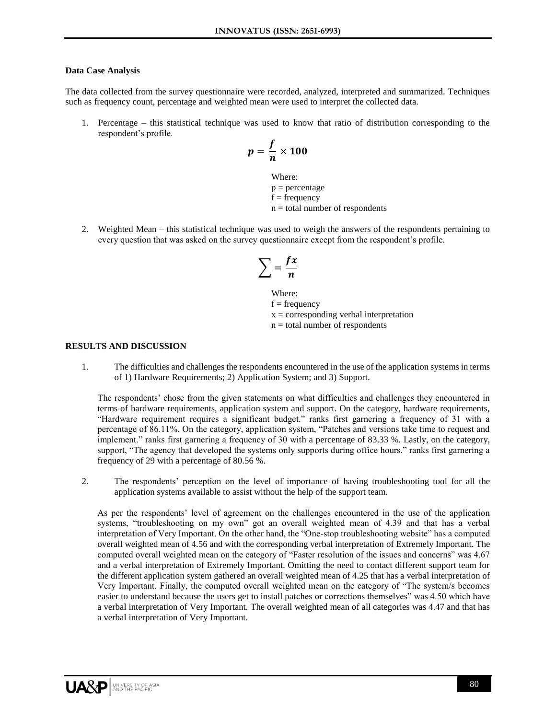#### **Data Case Analysis**

The data collected from the survey questionnaire were recorded, analyzed, interpreted and summarized. Techniques such as frequency count, percentage and weighted mean were used to interpret the collected data.

1. Percentage – this statistical technique was used to know that ratio of distribution corresponding to the respondent's profile.

$$
p=\frac{f}{n}\times 100
$$

Where:  $p = percentage$  $f = frequency$  $n =$  total number of respondents

2. Weighted Mean – this statistical technique was used to weigh the answers of the respondents pertaining to every question that was asked on the survey questionnaire except from the respondent's profile.

$$
\sum = \frac{fx}{n}
$$

Where:  $f = frequency$  $x =$  corresponding verbal interpretation  $n =$  total number of respondents

#### **RESULTS AND DISCUSSION**

1. The difficulties and challenges the respondents encountered in the use of the application systems in terms of 1) Hardware Requirements; 2) Application System; and 3) Support.

The respondents' chose from the given statements on what difficulties and challenges they encountered in terms of hardware requirements, application system and support. On the category, hardware requirements, "Hardware requirement requires a significant budget." ranks first garnering a frequency of 31 with a percentage of 86.11%. On the category, application system, "Patches and versions take time to request and implement." ranks first garnering a frequency of 30 with a percentage of 83.33 %. Lastly, on the category, support, "The agency that developed the systems only supports during office hours." ranks first garnering a frequency of 29 with a percentage of 80.56 %.

2. The respondents' perception on the level of importance of having troubleshooting tool for all the application systems available to assist without the help of the support team.

As per the respondents' level of agreement on the challenges encountered in the use of the application systems, "troubleshooting on my own" got an overall weighted mean of 4.39 and that has a verbal interpretation of Very Important. On the other hand, the "One-stop troubleshooting website" has a computed overall weighted mean of 4.56 and with the corresponding verbal interpretation of Extremely Important. The computed overall weighted mean on the category of "Faster resolution of the issues and concerns" was 4.67 and a verbal interpretation of Extremely Important. Omitting the need to contact different support team for the different application system gathered an overall weighted mean of 4.25 that has a verbal interpretation of Very Important. Finally, the computed overall weighted mean on the category of "The system/s becomes easier to understand because the users get to install patches or corrections themselves" was 4.50 which have a verbal interpretation of Very Important. The overall weighted mean of all categories was 4.47 and that has a verbal interpretation of Very Important.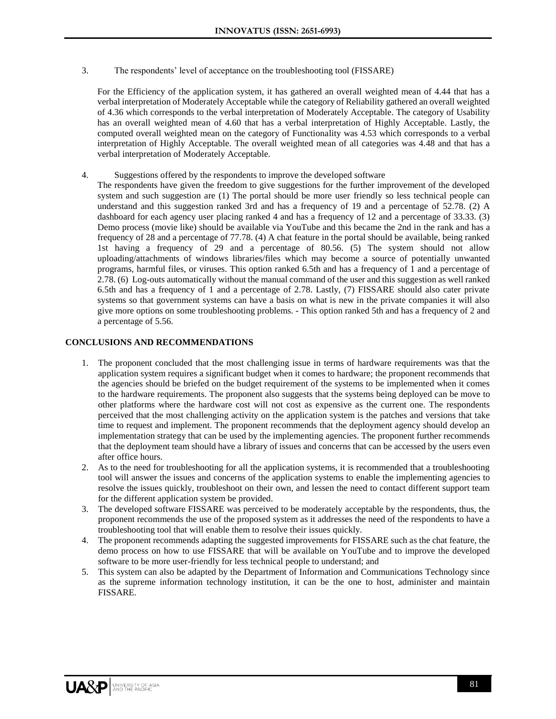3. The respondents' level of acceptance on the troubleshooting tool (FISSARE)

For the Efficiency of the application system, it has gathered an overall weighted mean of 4.44 that has a verbal interpretation of Moderately Acceptable while the category of Reliability gathered an overall weighted of 4.36 which corresponds to the verbal interpretation of Moderately Acceptable. The category of Usability has an overall weighted mean of 4.60 that has a verbal interpretation of Highly Acceptable. Lastly, the computed overall weighted mean on the category of Functionality was 4.53 which corresponds to a verbal interpretation of Highly Acceptable. The overall weighted mean of all categories was 4.48 and that has a verbal interpretation of Moderately Acceptable.

- 4. Suggestions offered by the respondents to improve the developed software
	- The respondents have given the freedom to give suggestions for the further improvement of the developed system and such suggestion are (1) The portal should be more user friendly so less technical people can understand and this suggestion ranked 3rd and has a frequency of 19 and a percentage of 52.78. (2) A dashboard for each agency user placing ranked 4 and has a frequency of 12 and a percentage of 33.33. (3) Demo process (movie like) should be available via YouTube and this became the 2nd in the rank and has a frequency of 28 and a percentage of 77.78. (4) A chat feature in the portal should be available, being ranked 1st having a frequency of 29 and a percentage of 80.56. (5) The system should not allow uploading/attachments of windows libraries/files which may become a source of potentially unwanted programs, harmful files, or viruses. This option ranked 6.5th and has a frequency of 1 and a percentage of 2.78. (6) Log-outs automatically without the manual command of the user and this suggestion as well ranked 6.5th and has a frequency of 1 and a percentage of 2.78. Lastly, (7) FISSARE should also cater private systems so that government systems can have a basis on what is new in the private companies it will also give more options on some troubleshooting problems. - This option ranked 5th and has a frequency of 2 and a percentage of 5.56.

## **CONCLUSIONS AND RECOMMENDATIONS**

- 1. The proponent concluded that the most challenging issue in terms of hardware requirements was that the application system requires a significant budget when it comes to hardware; the proponent recommends that the agencies should be briefed on the budget requirement of the systems to be implemented when it comes to the hardware requirements. The proponent also suggests that the systems being deployed can be move to other platforms where the hardware cost will not cost as expensive as the current one. The respondents perceived that the most challenging activity on the application system is the patches and versions that take time to request and implement. The proponent recommends that the deployment agency should develop an implementation strategy that can be used by the implementing agencies. The proponent further recommends that the deployment team should have a library of issues and concerns that can be accessed by the users even after office hours.
- 2. As to the need for troubleshooting for all the application systems, it is recommended that a troubleshooting tool will answer the issues and concerns of the application systems to enable the implementing agencies to resolve the issues quickly, troubleshoot on their own, and lessen the need to contact different support team for the different application system be provided.
- 3. The developed software FISSARE was perceived to be moderately acceptable by the respondents, thus, the proponent recommends the use of the proposed system as it addresses the need of the respondents to have a troubleshooting tool that will enable them to resolve their issues quickly.
- 4. The proponent recommends adapting the suggested improvements for FISSARE such as the chat feature, the demo process on how to use FISSARE that will be available on YouTube and to improve the developed software to be more user-friendly for less technical people to understand; and
- 5. This system can also be adapted by the Department of Information and Communications Technology since as the supreme information technology institution, it can be the one to host, administer and maintain FISSARE.